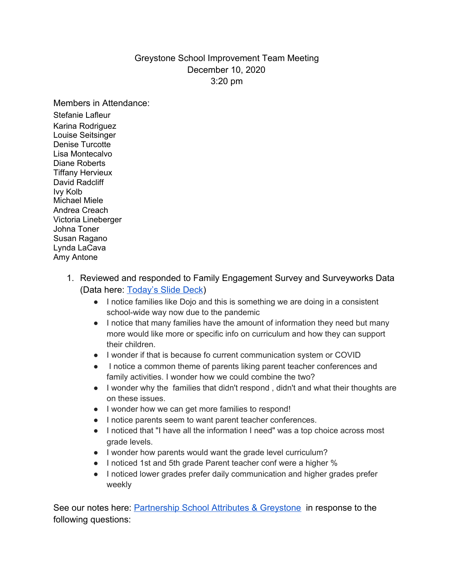## Greystone School Improvement Team Meeting December 10, 2020 3:20 pm

Members in Attendance:

Stefanie Lafleur Karina Rodriguez Louise Seitsinger Denise Turcotte Lisa Montecalvo Diane Roberts Tiffany Hervieux David Radcliff Ivy Kolb Michael Miele Andrea Creach Victoria Lineberger Johna Toner Susan Ragano Lynda LaCava Amy Antone

- 1. Reviewed and responded to Family Engagement Survey and Surveyworks Data (Data here: [Today's Slide Deck](https://docs.google.com/presentation/d/1QR9CLgwpjheVhDFDvDZSza7Se1_UmznmD0ZiwHcAUkA/edit?usp=sharing))
	- I notice families like Dojo and this is something we are doing in a consistent school-wide way now due to the pandemic
	- I notice that many families have the amount of information they need but many more would like more or specific info on curriculum and how they can support their children.
	- I wonder if that is because fo current communication system or COVID
	- I notice a common theme of parents liking parent teacher conferences and family activities. I wonder how we could combine the two?
	- I wonder why the families that didn't respond , didn't and what their thoughts are on these issues.
	- I wonder how we can get more families to respond!
	- I notice parents seem to want parent teacher conferences.
	- I noticed that "I have all the information I need" was a top choice across most grade levels.
	- I wonder how parents would want the grade level curriculum?
	- I noticed 1st and 5th grade Parent teacher conf were a higher %
	- I noticed lower grades prefer daily communication and higher grades prefer weekly

See our notes here: [Partnership School Attributes & Greystone](https://docs.google.com/document/d/1sN4370bcP3t-SNaZcCO1jA_BbDoucylP5iE4DEccRms/edit?usp=sharing) in response to the following questions: